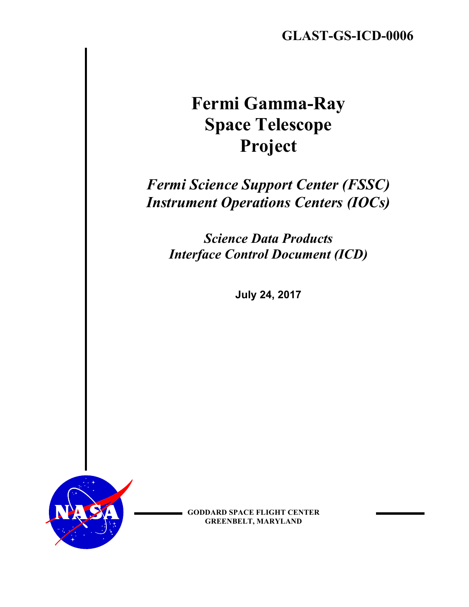# **Fermi Gamma-Ray Space Telescope Project**

## *Fermi Science Support Center (FSSC) Instrument Operations Centers (IOCs)*

*Science Data Products Interface Control Document (ICD)*

**July 24, 2017**



**GODDARD SPACE FLIGHT CENTER GREENBELT, MARYLAND**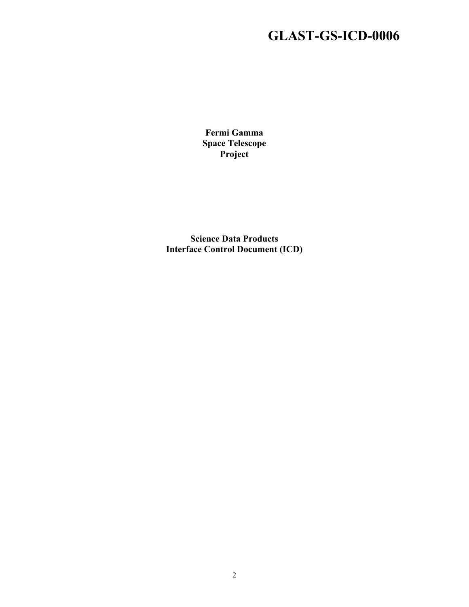**Fermi Gamma Space Telescope Project**

**Science Data Products Interface Control Document (ICD)**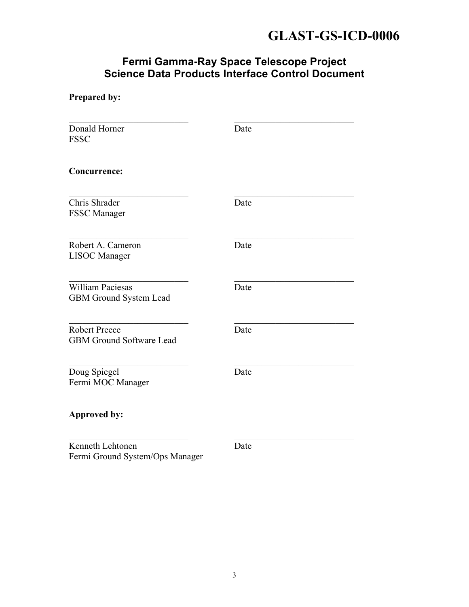#### **Fermi Gamma-Ray Space Telescope Project Science Data Products Interface Control Document**

| Prepared by:                                             |      |
|----------------------------------------------------------|------|
| Donald Horner<br><b>FSSC</b>                             | Date |
| <b>Concurrence:</b>                                      |      |
| Chris Shrader<br>FSSC Manager                            | Date |
| Robert A. Cameron<br><b>LISOC</b> Manager                | Date |
| <b>William Paciesas</b><br><b>GBM Ground System Lead</b> | Date |
| Robert Preece<br><b>GBM Ground Software Lead</b>         | Date |
| Doug Spiegel<br>Fermi MOC Manager                        | Date |
| <b>Approved by:</b>                                      |      |
| Kenneth Lehtonen<br>Fermi Ground System/Ops Manager      | Date |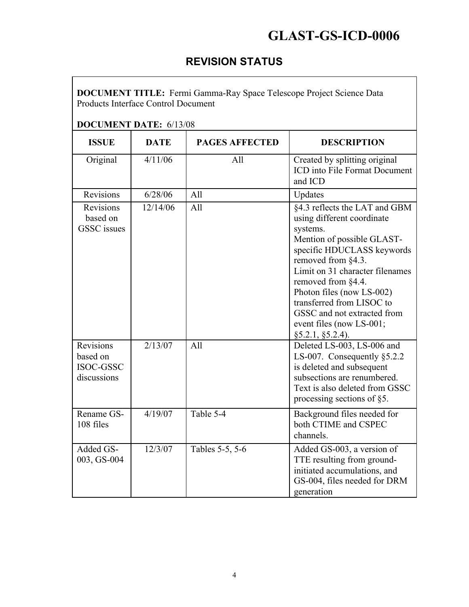#### **REVISION STATUS**

**DOCUMENT TITLE:** Fermi Gamma-Ray Space Telescope Project Science Data Products Interface Control Document

#### **DOCUMENT DATE:** 6/13/08

| <b>ISSUE</b>                                             | <b>DATE</b> | <b>PAGES AFFECTED</b> | <b>DESCRIPTION</b>                                                                                                                                                                                                                                                                                                                                             |
|----------------------------------------------------------|-------------|-----------------------|----------------------------------------------------------------------------------------------------------------------------------------------------------------------------------------------------------------------------------------------------------------------------------------------------------------------------------------------------------------|
| Original                                                 | 4/11/06     | All                   | Created by splitting original<br><b>ICD</b> into File Format Document<br>and ICD                                                                                                                                                                                                                                                                               |
| Revisions                                                | 6/28/06     | All                   | Updates                                                                                                                                                                                                                                                                                                                                                        |
| Revisions<br>based on<br><b>GSSC</b> issues              | 12/14/06    | All                   | §4.3 reflects the LAT and GBM<br>using different coordinate<br>systems.<br>Mention of possible GLAST-<br>specific HDUCLASS keywords<br>removed from §4.3.<br>Limit on 31 character filenames<br>removed from §4.4.<br>Photon files (now LS-002)<br>transferred from LISOC to<br>GSSC and not extracted from<br>event files (now LS-001;<br>$§5.2.1, §5.2.4$ ). |
| <b>Revisions</b><br>based on<br>ISOC-GSSC<br>discussions | 2/13/07     | All                   | Deleted LS-003, LS-006 and<br>LS-007. Consequently $§5.2.2$<br>is deleted and subsequent<br>subsections are renumbered.<br>Text is also deleted from GSSC<br>processing sections of §5.                                                                                                                                                                        |
| Rename GS-<br>108 files                                  | 4/19/07     | Table 5-4             | Background files needed for<br>both CTIME and CSPEC<br>channels.                                                                                                                                                                                                                                                                                               |
| Added GS-<br>003, GS-004                                 | 12/3/07     | Tables 5-5, 5-6       | Added GS-003, a version of<br>TTE resulting from ground-<br>initiated accumulations, and<br>GS-004, files needed for DRM<br>generation                                                                                                                                                                                                                         |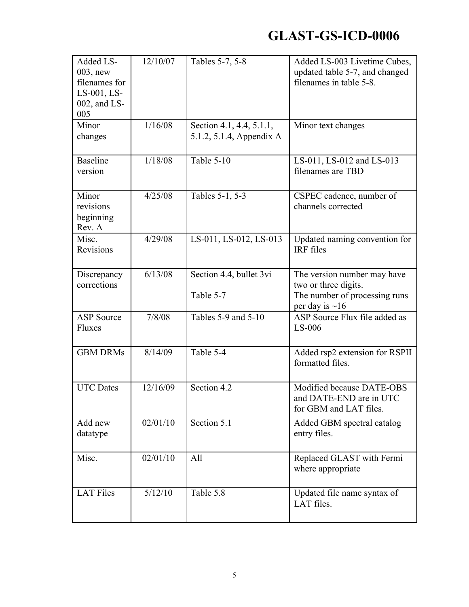| Added LS-<br>$003$ , new<br>filenames for<br>LS-001, LS-<br>002, and LS-<br>005 | 12/10/07 | Tables 5-7, 5-8                                      | Added LS-003 Livetime Cubes,<br>updated table 5-7, and changed<br>filenames in table 5-8.                    |
|---------------------------------------------------------------------------------|----------|------------------------------------------------------|--------------------------------------------------------------------------------------------------------------|
| Minor<br>changes                                                                | 1/16/08  | Section 4.1, 4.4, 5.1.1,<br>5.1.2, 5.1.4, Appendix A | Minor text changes                                                                                           |
| <b>Baseline</b><br>version                                                      | 1/18/08  | Table 5-10                                           | LS-011, LS-012 and LS-013<br>filenames are TBD                                                               |
| Minor<br>revisions<br>beginning<br>Rev. A                                       | 4/25/08  | Tables 5-1, 5-3                                      | CSPEC cadence, number of<br>channels corrected                                                               |
| Misc.<br>Revisions                                                              | 4/29/08  | LS-011, LS-012, LS-013                               | Updated naming convention for<br>IRF files                                                                   |
| Discrepancy<br>corrections                                                      | 6/13/08  | Section 4.4, bullet 3vi<br>Table 5-7                 | The version number may have<br>two or three digits.<br>The number of processing runs<br>per day is $\sim$ 16 |
| <b>ASP</b> Source<br>Fluxes                                                     | 7/8/08   | Tables 5-9 and 5-10                                  | ASP Source Flux file added as<br>$LS-006$                                                                    |
| <b>GBM DRMs</b>                                                                 | 8/14/09  | Table 5-4                                            | Added rsp2 extension for RSPII<br>formatted files.                                                           |
| <b>UTC</b> Dates                                                                | 12/16/09 | Section 4.2                                          | Modified because DATE-OBS<br>and DATE-END are in UTC<br>for GBM and LAT files.                               |
| Add new<br>datatype                                                             | 02/01/10 | Section 5.1                                          | Added GBM spectral catalog<br>entry files.                                                                   |
| Misc.                                                                           | 02/01/10 | All                                                  | Replaced GLAST with Fermi<br>where appropriate                                                               |
| <b>LAT Files</b>                                                                | 5/12/10  | Table 5.8                                            | Updated file name syntax of<br>LAT files.                                                                    |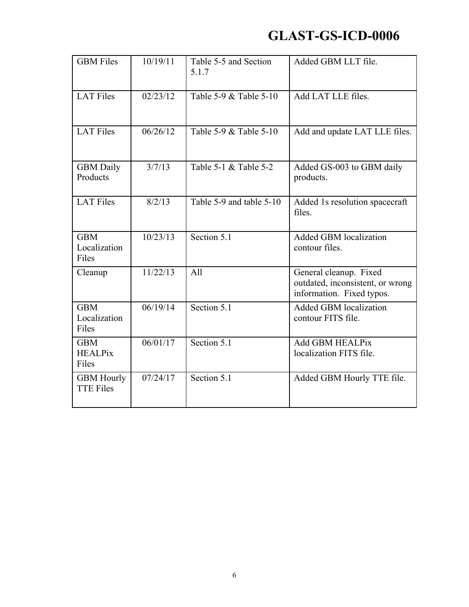| <b>GBM</b> Files                      | 10/19/11           | Table 5-5 and Section<br>5.1.7 | Added GBM LLT file.                                                                     |
|---------------------------------------|--------------------|--------------------------------|-----------------------------------------------------------------------------------------|
| <b>LAT Files</b>                      | 02/23/12           | Table 5-9 & Table 5-10         | Add LAT LLE files.                                                                      |
| <b>LAT Files</b>                      | 06/26/12           | Table 5-9 & Table 5-10         | Add and update LAT LLE files.                                                           |
| <b>GBM</b> Daily<br>Products          | $\frac{1}{3}/7/13$ | Table 5-1 & Table 5-2          | Added GS-003 to GBM daily<br>products.                                                  |
| <b>LAT Files</b>                      | 8/2/13             | Table 5-9 and table 5-10       | Added 1s resolution spacecraft<br>files.                                                |
| <b>GBM</b><br>Localization<br>Files   | 10/23/13           | Section 5.1                    | <b>Added GBM localization</b><br>contour files.                                         |
| Cleanup                               | 11/22/13           | All                            | General cleanup. Fixed<br>outdated, inconsistent, or wrong<br>information. Fixed typos. |
| <b>GBM</b><br>Localization<br>Files   | 06/19/14           | Section 5.1                    | <b>Added GBM localization</b><br>contour FITS file.                                     |
| <b>GBM</b><br><b>HEALPix</b><br>Files | 06/01/17           | Section 5.1                    | <b>Add GBM HEALPix</b><br>localization FITS file.                                       |
| <b>GBM Hourly</b><br><b>TTE Files</b> | 07/24/17           | Section $5.1$                  | Added GBM Hourly TTE file.                                                              |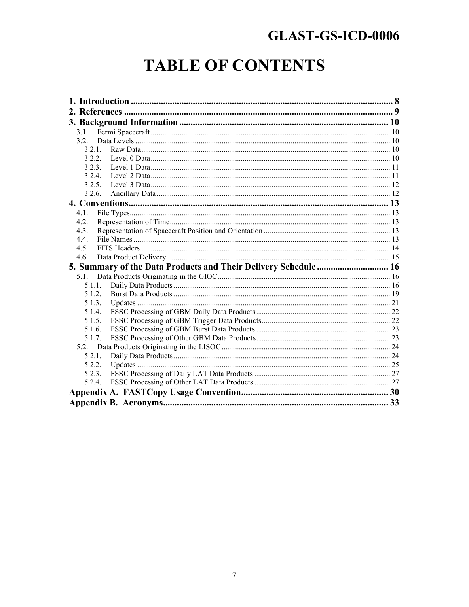# **TABLE OF CONTENTS**

| 3.1     |                                                                 |  |
|---------|-----------------------------------------------------------------|--|
| 32      |                                                                 |  |
| 3 2 1   |                                                                 |  |
| 3.2.2.  |                                                                 |  |
| 3.2.3.  |                                                                 |  |
| 3.2.4   |                                                                 |  |
| 3.2.5   |                                                                 |  |
| 3.2.6.  |                                                                 |  |
|         |                                                                 |  |
| 4.1.    |                                                                 |  |
| 4 2     |                                                                 |  |
| 4.3.    |                                                                 |  |
| 4.4.    |                                                                 |  |
| 4.5.    |                                                                 |  |
| 4.6.    |                                                                 |  |
|         | 5. Summary of the Data Products and Their Delivery Schedule  16 |  |
| $5.1$ . |                                                                 |  |
| 5.1.1.  |                                                                 |  |
| 5.1.2.  |                                                                 |  |
| 5.1.3.  |                                                                 |  |
| 5.1.4.  |                                                                 |  |
| 5.1.5.  |                                                                 |  |
| 5.1.6.  |                                                                 |  |
| 5.1.7.  |                                                                 |  |
| 52      |                                                                 |  |
| 5.2.1.  |                                                                 |  |
| 5.2.2.  |                                                                 |  |
| 5.2.3.  |                                                                 |  |
| 5.2.4   |                                                                 |  |
|         |                                                                 |  |
|         |                                                                 |  |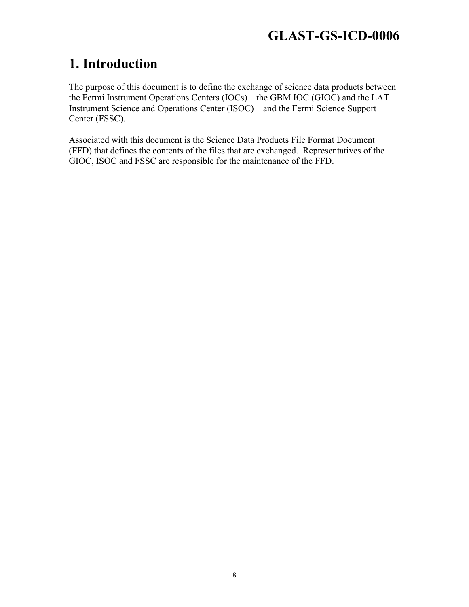### **1. Introduction**

The purpose of this document is to define the exchange of science data products between the Fermi Instrument Operations Centers (IOCs)—the GBM IOC (GIOC) and the LAT Instrument Science and Operations Center (ISOC)—and the Fermi Science Support Center (FSSC).

Associated with this document is the Science Data Products File Format Document (FFD) that defines the contents of the files that are exchanged. Representatives of the GIOC, ISOC and FSSC are responsible for the maintenance of the FFD.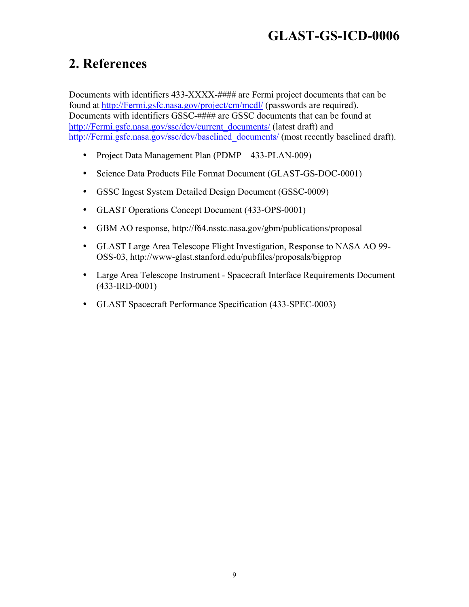### **2. References**

Documents with identifiers 433-XXXX-#### are Fermi project documents that can be found at http://Fermi.gsfc.nasa.gov/project/cm/mcdl/ (passwords are required). Documents with identifiers GSSC-#### are GSSC documents that can be found at http://Fermi.gsfc.nasa.gov/ssc/dev/current\_documents/ (latest draft) and http://Fermi.gsfc.nasa.gov/ssc/dev/baselined\_documents/ (most recently baselined draft).

- Project Data Management Plan (PDMP—433-PLAN-009)
- Science Data Products File Format Document (GLAST-GS-DOC-0001)
- GSSC Ingest System Detailed Design Document (GSSC-0009)
- GLAST Operations Concept Document (433-OPS-0001)
- GBM AO response, http://f64.nsstc.nasa.gov/gbm/publications/proposal
- GLAST Large Area Telescope Flight Investigation, Response to NASA AO 99- OSS-03, http://www-glast.stanford.edu/pubfiles/proposals/bigprop
- Large Area Telescope Instrument Spacecraft Interface Requirements Document (433-IRD-0001)
- GLAST Spacecraft Performance Specification (433-SPEC-0003)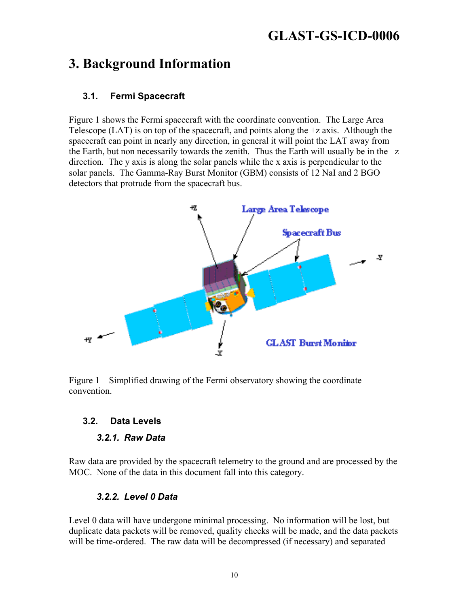#### **3. Background Information**

#### **3.1. Fermi Spacecraft**

Figure 1 shows the Fermi spacecraft with the coordinate convention. The Large Area Telescope (LAT) is on top of the spacecraft, and points along the +z axis. Although the spacecraft can point in nearly any direction, in general it will point the LAT away from the Earth, but non necessarily towards the zenith. Thus the Earth will usually be in the  $-z$ direction. The y axis is along the solar panels while the x axis is perpendicular to the solar panels. The Gamma-Ray Burst Monitor (GBM) consists of 12 NaI and 2 BGO detectors that protrude from the spacecraft bus.



Figure 1—Simplified drawing of the Fermi observatory showing the coordinate convention.

#### **3.2. Data Levels**

#### *3.2.1. Raw Data*

Raw data are provided by the spacecraft telemetry to the ground and are processed by the MOC. None of the data in this document fall into this category.

#### *3.2.2. Level 0 Data*

Level 0 data will have undergone minimal processing. No information will be lost, but duplicate data packets will be removed, quality checks will be made, and the data packets will be time-ordered. The raw data will be decompressed (if necessary) and separated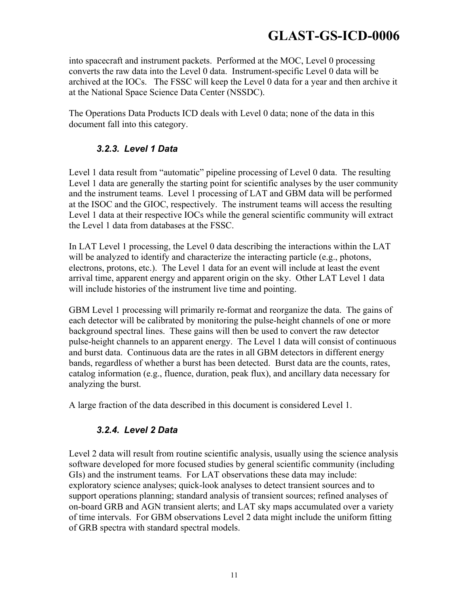into spacecraft and instrument packets. Performed at the MOC, Level 0 processing converts the raw data into the Level 0 data. Instrument-specific Level 0 data will be archived at the IOCs. The FSSC will keep the Level 0 data for a year and then archive it at the National Space Science Data Center (NSSDC).

The Operations Data Products ICD deals with Level 0 data; none of the data in this document fall into this category.

#### *3.2.3. Level 1 Data*

Level 1 data result from "automatic" pipeline processing of Level 0 data. The resulting Level 1 data are generally the starting point for scientific analyses by the user community and the instrument teams. Level 1 processing of LAT and GBM data will be performed at the ISOC and the GIOC, respectively. The instrument teams will access the resulting Level 1 data at their respective IOCs while the general scientific community will extract the Level 1 data from databases at the FSSC.

In LAT Level 1 processing, the Level 0 data describing the interactions within the LAT will be analyzed to identify and characterize the interacting particle (e.g., photons, electrons, protons, etc.). The Level 1 data for an event will include at least the event arrival time, apparent energy and apparent origin on the sky. Other LAT Level 1 data will include histories of the instrument live time and pointing.

GBM Level 1 processing will primarily re-format and reorganize the data. The gains of each detector will be calibrated by monitoring the pulse-height channels of one or more background spectral lines. These gains will then be used to convert the raw detector pulse-height channels to an apparent energy. The Level 1 data will consist of continuous and burst data. Continuous data are the rates in all GBM detectors in different energy bands, regardless of whether a burst has been detected. Burst data are the counts, rates, catalog information (e.g., fluence, duration, peak flux), and ancillary data necessary for analyzing the burst.

A large fraction of the data described in this document is considered Level 1.

#### *3.2.4. Level 2 Data*

Level 2 data will result from routine scientific analysis, usually using the science analysis software developed for more focused studies by general scientific community (including GIs) and the instrument teams. For LAT observations these data may include: exploratory science analyses; quick-look analyses to detect transient sources and to support operations planning; standard analysis of transient sources; refined analyses of on-board GRB and AGN transient alerts; and LAT sky maps accumulated over a variety of time intervals. For GBM observations Level 2 data might include the uniform fitting of GRB spectra with standard spectral models.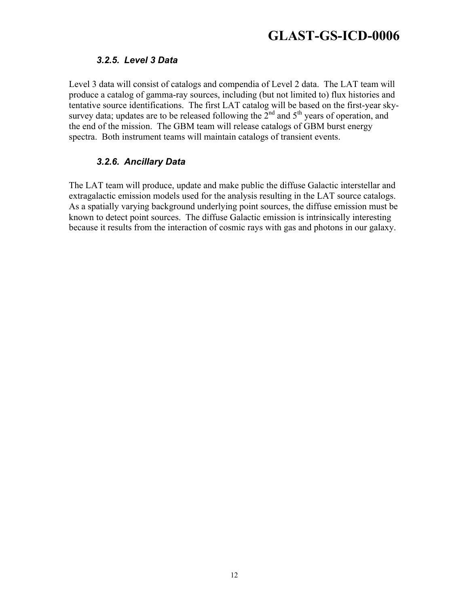#### *3.2.5. Level 3 Data*

Level 3 data will consist of catalogs and compendia of Level 2 data. The LAT team will produce a catalog of gamma-ray sources, including (but not limited to) flux histories and tentative source identifications. The first LAT catalog will be based on the first-year skysurvey data; updates are to be released following the  $\tilde{2}^{nd}$  and  $5^{th}$  years of operation, and the end of the mission. The GBM team will release catalogs of GBM burst energy spectra. Both instrument teams will maintain catalogs of transient events.

#### *3.2.6. Ancillary Data*

The LAT team will produce, update and make public the diffuse Galactic interstellar and extragalactic emission models used for the analysis resulting in the LAT source catalogs. As a spatially varying background underlying point sources, the diffuse emission must be known to detect point sources. The diffuse Galactic emission is intrinsically interesting because it results from the interaction of cosmic rays with gas and photons in our galaxy.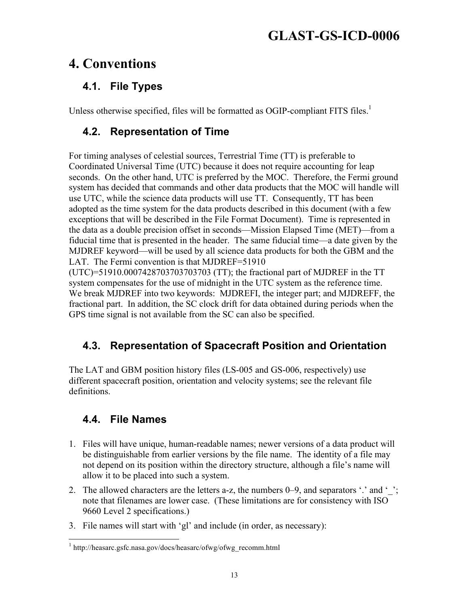### **4. Conventions**

#### **4.1. File Types**

Unless otherwise specified, files will be formatted as OGIP-compliant FITS files.<sup>1</sup>

#### **4.2. Representation of Time**

For timing analyses of celestial sources, Terrestrial Time (TT) is preferable to Coordinated Universal Time (UTC) because it does not require accounting for leap seconds. On the other hand, UTC is preferred by the MOC. Therefore, the Fermi ground system has decided that commands and other data products that the MOC will handle will use UTC, while the science data products will use TT. Consequently, TT has been adopted as the time system for the data products described in this document (with a few exceptions that will be described in the File Format Document). Time is represented in the data as a double precision offset in seconds—Mission Elapsed Time (MET)—from a fiducial time that is presented in the header. The same fiducial time—a date given by the MJDREF keyword—will be used by all science data products for both the GBM and the LAT. The Fermi convention is that MJDREF=51910

(UTC)=51910.0007428703703703703 (TT); the fractional part of MJDREF in the TT system compensates for the use of midnight in the UTC system as the reference time. We break MJDREF into two keywords: MJDREFI, the integer part; and MJDREFF, the fractional part. In addition, the SC clock drift for data obtained during periods when the GPS time signal is not available from the SC can also be specified.

#### **4.3. Representation of Spacecraft Position and Orientation**

The LAT and GBM position history files (LS-005 and GS-006, respectively) use different spacecraft position, orientation and velocity systems; see the relevant file definitions.

#### **4.4. File Names**

- 1. Files will have unique, human-readable names; newer versions of a data product will be distinguishable from earlier versions by the file name. The identity of a file may not depend on its position within the directory structure, although a file's name will allow it to be placed into such a system.
- 2. The allowed characters are the letters a-z, the numbers  $0-9$ , and separators '.' and ''; note that filenames are lower case. (These limitations are for consistency with ISO 9660 Level 2 specifications.)
- 3. File names will start with 'gl' and include (in order, as necessary):

 $1$  http://heasarc.gsfc.nasa.gov/docs/heasarc/ofwg/ofwg\_recomm.html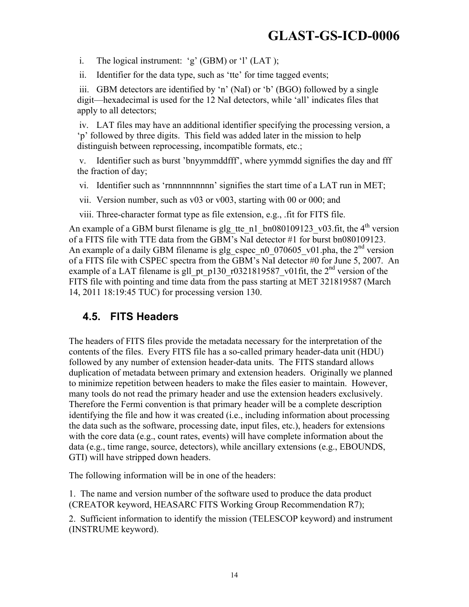i. The logical instrument: 'g' (GBM) or 'l' (LAT );

ii. Identifier for the data type, such as 'tte' for time tagged events;

iii. GBM detectors are identified by 'n' (NaI) or 'b' (BGO) followed by a single digit—hexadecimal is used for the 12 NaI detectors, while 'all' indicates files that apply to all detectors;

iv. LAT files may have an additional identifier specifying the processing version, a 'p' followed by three digits. This field was added later in the mission to help distinguish between reprocessing, incompatible formats, etc.;

v. Identifier such as burst 'bnyymmddfff', where yymmdd signifies the day and fff the fraction of day;

vi. Identifier such as 'rnnnnnnnnnn' signifies the start time of a LAT run in MET;

vii. Version number, such as v03 or v003, starting with 00 or 000; and

viii. Three-character format type as file extension, e.g., .fit for FITS file.

An example of a GBM burst filename is glg\_tte\_n1\_bn080109123\_v03.fit, the 4<sup>th</sup> version of a FITS file with TTE data from the GBM's NaI detector #1 for burst bn080109123. An example of a daily GBM filename is glg\_cspec\_n0\_070605\_v01.pha, the  $2<sup>nd</sup>$  version of a FITS file with CSPEC spectra from the GBM's NaI detector #0 for June 5, 2007. An example of a LAT filename is gll\_pt\_p130\_r0321819587\_v01fit, the 2<sup>nd</sup> version of the FITS file with pointing and time data from the pass starting at MET 321819587 (March 14, 2011 18:19:45 TUC) for processing version 130.

#### **4.5. FITS Headers**

The headers of FITS files provide the metadata necessary for the interpretation of the contents of the files. Every FITS file has a so-called primary header-data unit (HDU) followed by any number of extension header-data units. The FITS standard allows duplication of metadata between primary and extension headers. Originally we planned to minimize repetition between headers to make the files easier to maintain. However, many tools do not read the primary header and use the extension headers exclusively. Therefore the Fermi convention is that primary header will be a complete description identifying the file and how it was created (i.e., including information about processing the data such as the software, processing date, input files, etc.), headers for extensions with the core data (e.g., count rates, events) will have complete information about the data (e.g., time range, source, detectors), while ancillary extensions (e.g., EBOUNDS, GTI) will have stripped down headers.

The following information will be in one of the headers:

1. The name and version number of the software used to produce the data product (CREATOR keyword, HEASARC FITS Working Group Recommendation R7);

2. Sufficient information to identify the mission (TELESCOP keyword) and instrument (INSTRUME keyword).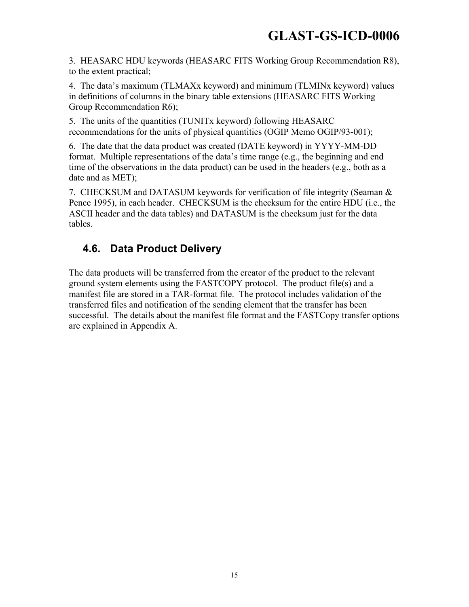3. HEASARC HDU keywords (HEASARC FITS Working Group Recommendation R8), to the extent practical;

4. The data's maximum (TLMAXx keyword) and minimum (TLMINx keyword) values in definitions of columns in the binary table extensions (HEASARC FITS Working Group Recommendation R6);

5. The units of the quantities (TUNITx keyword) following HEASARC recommendations for the units of physical quantities (OGIP Memo OGIP/93-001);

6. The date that the data product was created (DATE keyword) in YYYY-MM-DD format. Multiple representations of the data's time range (e.g., the beginning and end time of the observations in the data product) can be used in the headers (e.g., both as a date and as MET);

7. CHECKSUM and DATASUM keywords for verification of file integrity (Seaman & Pence 1995), in each header. CHECKSUM is the checksum for the entire HDU (i.e., the ASCII header and the data tables) and DATASUM is the checksum just for the data tables.

#### **4.6. Data Product Delivery**

The data products will be transferred from the creator of the product to the relevant ground system elements using the FASTCOPY protocol. The product file(s) and a manifest file are stored in a TAR-format file. The protocol includes validation of the transferred files and notification of the sending element that the transfer has been successful. The details about the manifest file format and the FASTCopy transfer options are explained in Appendix A.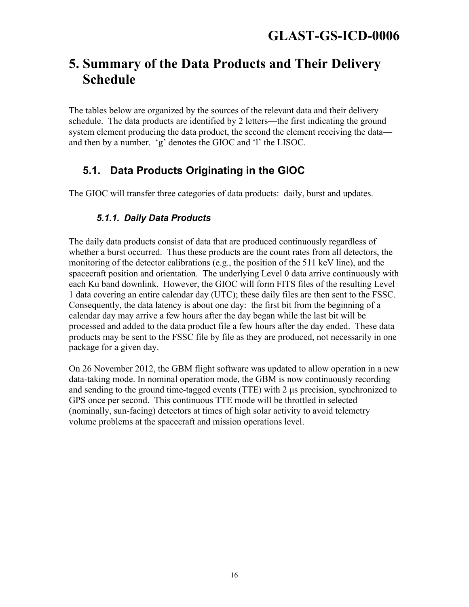### **5. Summary of the Data Products and Their Delivery Schedule**

The tables below are organized by the sources of the relevant data and their delivery schedule. The data products are identified by 2 letters—the first indicating the ground system element producing the data product, the second the element receiving the data and then by a number. 'g' denotes the GIOC and 'l' the LISOC.

#### **5.1. Data Products Originating in the GIOC**

The GIOC will transfer three categories of data products: daily, burst and updates.

#### *5.1.1. Daily Data Products*

The daily data products consist of data that are produced continuously regardless of whether a burst occurred. Thus these products are the count rates from all detectors, the monitoring of the detector calibrations (e.g., the position of the 511 keV line), and the spacecraft position and orientation. The underlying Level 0 data arrive continuously with each Ku band downlink. However, the GIOC will form FITS files of the resulting Level 1 data covering an entire calendar day (UTC); these daily files are then sent to the FSSC. Consequently, the data latency is about one day: the first bit from the beginning of a calendar day may arrive a few hours after the day began while the last bit will be processed and added to the data product file a few hours after the day ended. These data products may be sent to the FSSC file by file as they are produced, not necessarily in one package for a given day.

On 26 November 2012, the GBM flight software was updated to allow operation in a new data-taking mode. In nominal operation mode, the GBM is now continuously recording and sending to the ground time-tagged events (TTE) with 2 µs precision, synchronized to GPS once per second. This continuous TTE mode will be throttled in selected (nominally, sun-facing) detectors at times of high solar activity to avoid telemetry volume problems at the spacecraft and mission operations level.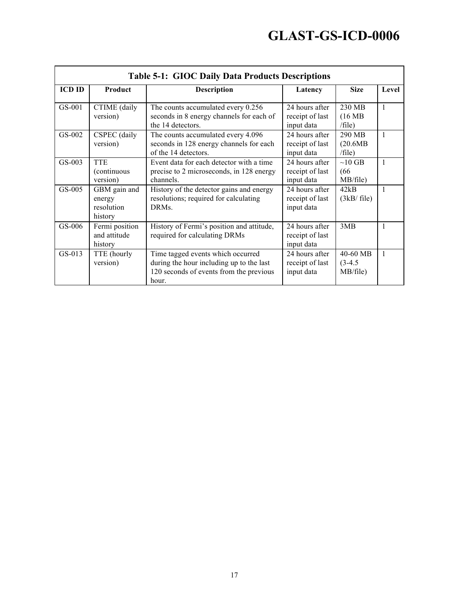|                    | <b>Table 5-1: GIOC Daily Data Products Descriptions</b> |                                                                                                                                                                                      |                                                                                      |                                                   |        |  |
|--------------------|---------------------------------------------------------|--------------------------------------------------------------------------------------------------------------------------------------------------------------------------------------|--------------------------------------------------------------------------------------|---------------------------------------------------|--------|--|
| <b>ICD ID</b>      | Product                                                 | <b>Description</b>                                                                                                                                                                   | Latency                                                                              | <b>Size</b>                                       | Level  |  |
| $GS-001$<br>GS-002 | CTIME (daily<br>version)<br>CSPEC (daily<br>version)    | The counts accumulated every 0.256<br>seconds in 8 energy channels for each of<br>the 14 detectors.<br>The counts accumulated every 4.096<br>seconds in 128 energy channels for each | 24 hours after<br>receipt of last<br>input data<br>24 hours after<br>receipt of last | 230 MB<br>(16 MB)<br>/file)<br>290 MB<br>(20.6MB) | 1<br>1 |  |
| GS-003             | <b>TTE</b><br>(continuous)<br>version)                  | of the 14 detectors.<br>Event data for each detector with a time<br>precise to 2 microseconds, in 128 energy<br>channels.                                                            | input data<br>24 hours after<br>receipt of last<br>input data                        | /file)<br>$\sim 10$ GB<br>(66)<br>MB/file)        | 1      |  |
| $GS-005$           | GBM gain and<br>energy<br>resolution<br>history         | History of the detector gains and energy<br>resolutions; required for calculating<br><b>DRMs</b>                                                                                     | 24 hours after<br>receipt of last<br>input data                                      | 42kB<br>(3kB/file)                                | 1      |  |
| GS-006             | Fermi position<br>and attitude<br>history               | History of Fermi's position and attitude,<br>required for calculating DRMs                                                                                                           | 24 hours after<br>receipt of last<br>input data                                      | 3MB                                               | 1      |  |
| $GS-013$           | TTE (hourly<br>version)                                 | Time tagged events which occurred<br>during the hour including up to the last<br>120 seconds of events from the previous<br>hour.                                                    | 24 hours after<br>receipt of last<br>input data                                      | 40-60 MB<br>$(3-4.5)$<br>MB/file)                 | 1      |  |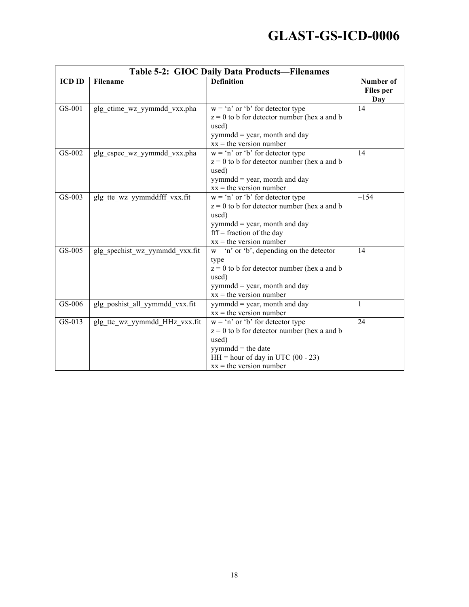|               |                                | Table 5-2: GIOC Daily Data Products-Filenames                                                                                                                                                      |                                      |  |  |
|---------------|--------------------------------|----------------------------------------------------------------------------------------------------------------------------------------------------------------------------------------------------|--------------------------------------|--|--|
| <b>ICD ID</b> | Filename                       | <b>Definition</b>                                                                                                                                                                                  | Number of<br><b>Files</b> per<br>Day |  |  |
| GS-001        | glg_ctime_wz_yymmdd_vxx.pha    | $w = 'n'$ or 'b' for detector type<br>$z = 0$ to b for detector number (hex a and b<br>used)<br>yymmdd = year, month and day<br>$xx =$ the version number                                          | 14                                   |  |  |
| GS-002        | glg_cspec_wz_yymmdd_vxx.pha    | $w = 'n'$ or 'b' for detector type<br>$z = 0$ to b for detector number (hex a and b<br>used)<br>yymmdd = year, month and day<br>$xx =$ the version number                                          | 14                                   |  |  |
| GS-003        | glg tte wz yymmddfff vxx.fit   | $w = 'n'$ or 'b' for detector type<br>$z = 0$ to b for detector number (hex a and b<br>used)<br>$yymmdd = year$ , month and day<br>$\text{fff}$ = fraction of the day<br>$xx =$ the version number | ~154                                 |  |  |
| $GS-005$      | glg_spechist_wz_yymmdd_vxx.fit | $w$ — 'n' or 'b', depending on the detector<br>type<br>$z = 0$ to b for detector number (hex a and b<br>used)<br>$yymmdd = year$ , month and day<br>$xx =$ the version number                      | 14                                   |  |  |
| GS-006        | glg poshist all yymmdd vxx.fit | $yymmdd = year$ , month and day<br>$xx =$ the version number                                                                                                                                       | $\mathbf{1}$                         |  |  |
| GS-013        | glg tte wz yymmdd HHz vxx.fit  | $w = 'n'$ or 'b' for detector type<br>$z = 0$ to b for detector number (hex a and b<br>used)<br>$yymmd =$ the date<br>$HH = hour of day in UTC (00 - 23)$<br>$xx =$ the version number             | 24                                   |  |  |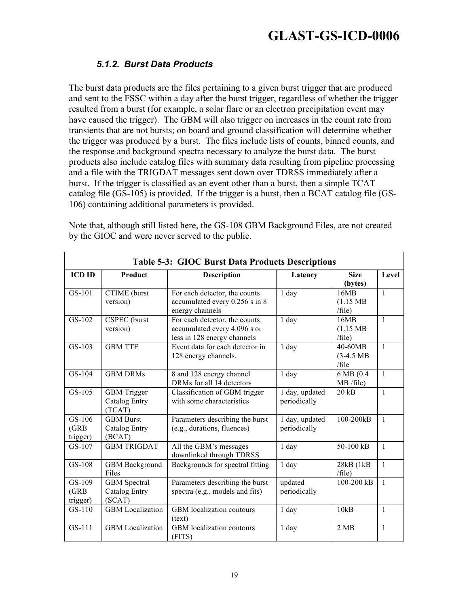#### *5.1.2. Burst Data Products*

The burst data products are the files pertaining to a given burst trigger that are produced and sent to the FSSC within a day after the burst trigger, regardless of whether the trigger resulted from a burst (for example, a solar flare or an electron precipitation event may have caused the trigger). The GBM will also trigger on increases in the count rate from transients that are not bursts; on board and ground classification will determine whether the trigger was produced by a burst. The files include lists of counts, binned counts, and the response and background spectra necessary to analyze the burst data. The burst products also include catalog files with summary data resulting from pipeline processing and a file with the TRIGDAT messages sent down over TDRSS immediately after a burst. If the trigger is classified as an event other than a burst, then a simple TCAT catalog file (GS-105) is provided. If the trigger is a burst, then a BCAT catalog file (GS-106) containing additional parameters is provided.

|                             | <b>Table 5-3: GIOC Burst Data Products Descriptions</b> |                                                                                              |                                |                                       |              |  |  |
|-----------------------------|---------------------------------------------------------|----------------------------------------------------------------------------------------------|--------------------------------|---------------------------------------|--------------|--|--|
| <b>ICD ID</b>               | Product                                                 | <b>Description</b>                                                                           | Latency                        | <b>Size</b><br>(bytes)                | Level        |  |  |
| GS-101                      | CTIME (burst<br>version)                                | For each detector, the counts<br>accumulated every 0.256 s in 8<br>energy channels           | $1$ day                        | 16MB<br>$(1.15 \text{ MB})$<br>/file) | $\mathbf{1}$ |  |  |
| GS-102                      | <b>CSPEC</b> (burst<br>version)                         | For each detector, the counts<br>accumulated every 4.096 s or<br>less in 128 energy channels | $1$ day                        | 16MB<br>$(1.15 \text{ MB})$<br>/file) | $\mathbf{1}$ |  |  |
| GS-103                      | <b>GBM TTE</b>                                          | Event data for each detector in<br>128 energy channels.                                      | 1 day                          | 40-60MB<br>$(3-4.5)$ MB<br>/file      | $\mathbf{1}$ |  |  |
| GS-104                      | <b>GBM DRMs</b>                                         | 8 and 128 energy channel<br>DRMs for all 14 detectors                                        | 1 day                          | 6 MB (0.4<br>MB /file)                | $\mathbf{1}$ |  |  |
| GS-105                      | <b>GBM</b> Trigger<br><b>Catalog Entry</b><br>(TCAT)    | Classification of GBM trigger<br>with some characteristics                                   | 1 day, updated<br>periodically | $20$ kB                               | $\mathbf{1}$ |  |  |
| GS-106<br>(GRB)<br>trigger) | <b>GBM Burst</b><br><b>Catalog Entry</b><br>(BCAT)      | Parameters describing the burst<br>(e.g., durations, fluences)                               | 1 day, updated<br>periodically | 100-200kB                             | $\mathbf{1}$ |  |  |
| GS-107                      | <b>GBM TRIGDAT</b>                                      | All the GBM's messages<br>downlinked through TDRSS                                           | 1 day                          | 50-100 kB                             | $\mathbf{1}$ |  |  |
| GS-108                      | <b>GBM Background</b><br>Files                          | Backgrounds for spectral fitting                                                             | 1 day                          | 28kB (1kB<br>/file)                   | $\mathbf{1}$ |  |  |
| GS-109<br>(GRB)<br>trigger) | <b>GBM</b> Spectral<br><b>Catalog Entry</b><br>(SCAT)   | Parameters describing the burst<br>spectra (e.g., models and fits)                           | updated<br>periodically        | 100-200 kB                            | $\mathbf{1}$ |  |  |
| $GS-110$                    | <b>GBM</b> Localization                                 | GBM localization contours<br>(text)                                                          | $1$ day                        | 10kB                                  | $\mathbf{1}$ |  |  |
| GS-111                      | <b>GBM</b> Localization                                 | GBM localization contours<br>(FITS)                                                          | 1 day                          | 2 MB                                  | $\mathbf{1}$ |  |  |

Note that, although still listed here, the GS-108 GBM Background Files, are not created by the GIOC and were never served to the public.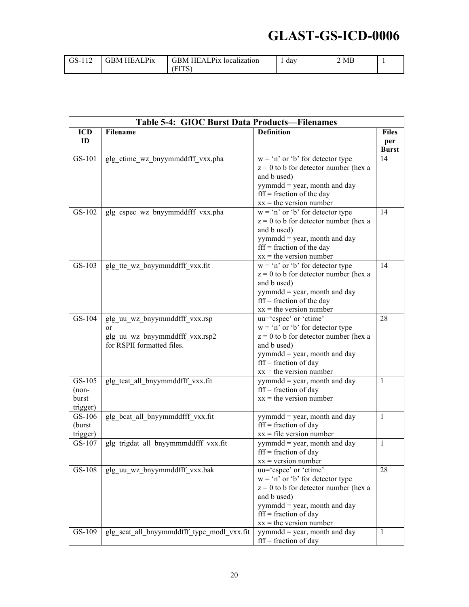| .<br>GS-1<br>. | $\mathbf{p}_{\mathbf{i}\mathbf{X}}$<br>. ÷RM :<br>$\Lambda$ | Pix<br>GBM<br>HEAL<br>localization | dav | 2 MB |  |
|----------------|-------------------------------------------------------------|------------------------------------|-----|------|--|
|                |                                                             | . <u>.</u>                         |     |      |  |

|            | Table 5-4: GIOC Burst Data Products-Filenames |                                                                |              |  |
|------------|-----------------------------------------------|----------------------------------------------------------------|--------------|--|
| <b>ICD</b> | <b>Filename</b>                               | <b>Definition</b>                                              | <b>Files</b> |  |
| ID         |                                               |                                                                | per          |  |
|            |                                               |                                                                | <b>Burst</b> |  |
| GS-101     | glg ctime wz bnyymmddfff vxx.pha              | $w = 'n'$ or 'b' for detector type                             | 14           |  |
|            |                                               | $z = 0$ to b for detector number (hex a                        |              |  |
|            |                                               | and b used)                                                    |              |  |
|            |                                               | $yymmdd = year$ , month and day                                |              |  |
|            |                                               | $\text{fff}$ = fraction of the day                             |              |  |
|            |                                               | $xx =$ the version number                                      |              |  |
| GS-102     | glg_cspec_wz_bnyymmddfff_vxx.pha              | $w = 'n'$ or 'b' for detector type                             | 14           |  |
|            |                                               | $z = 0$ to b for detector number (hex a                        |              |  |
|            |                                               | and b used)                                                    |              |  |
|            |                                               | yymmdd = year, month and day                                   |              |  |
|            |                                               | $\text{fff}$ = fraction of the day                             |              |  |
|            |                                               | $xx =$ the version number                                      |              |  |
| GS-103     | glg tte wz bnyymmddfff vxx.fit                | $w = 'n'$ or 'b' for detector type                             | 14           |  |
|            |                                               | $z = 0$ to b for detector number (hex a                        |              |  |
|            |                                               | and b used)                                                    |              |  |
|            |                                               | $yymmdd = year$ , month and day                                |              |  |
|            |                                               | $\text{fff}$ = fraction of the day                             |              |  |
|            |                                               | $xx =$ the version number                                      |              |  |
| GS-104     | glg uu wz bnyymmddfff vxx.rsp                 | uu='cspec' or 'ctime'                                          | 28           |  |
|            | or                                            | $w = 'n'$ or 'b' for detector type                             |              |  |
|            | glg uu wz bnyymmddfff vxx.rsp2                | $z = 0$ to b for detector number (hex a                        |              |  |
|            | for RSPII formatted files.                    | and b used)                                                    |              |  |
|            |                                               | yymmdd = year, month and day<br>$\text{fff}$ = fraction of day |              |  |
|            |                                               | $xx =$ the version number                                      |              |  |
| GS-105     | glg tcat all bnyymmddfff vxx.fit              | $yymmdd = year$ , month and day                                | $\mathbf{1}$ |  |
| $(non-$    |                                               | $\text{fff}$ = fraction of day                                 |              |  |
| burst      |                                               | $xx =$ the version number                                      |              |  |
| trigger)   |                                               |                                                                |              |  |
| $GS-106$   | glg bcat all bnyymmddfff vxx.fit              | yymmdd = year, month and day                                   | $\mathbf{1}$ |  |
| (burst     |                                               | $\text{fff}$ = fraction of day                                 |              |  |
| trigger)   |                                               | $xx = file$ version number                                     |              |  |
| GS-107     | glg trigdat all bnyymmmddfff vxx.fit          | $yymmdd = year$ , month and day                                | $\mathbf{1}$ |  |
|            |                                               | $\text{fff}$ = fraction of day                                 |              |  |
|            |                                               | $xx = version number$                                          |              |  |
| GS-108     | glg uu wz bnyymmddfff vxx.bak                 | uu='cspec' or 'ctime'                                          | 28           |  |
|            |                                               | $w = 'n'$ or 'b' for detector type                             |              |  |
|            |                                               | $z = 0$ to b for detector number (hex a                        |              |  |
|            |                                               | and b used)                                                    |              |  |
|            |                                               | yymmdd = year, month and day                                   |              |  |
|            |                                               | $\text{fff}$ = fraction of day                                 |              |  |
|            |                                               | $xx =$ the version number                                      |              |  |
| GS-109     | glg_scat_all_bnyymmddfff_type_modl_vxx.fit    | $yymmdd = year$ , month and day                                | $\mathbf{1}$ |  |
|            |                                               | $\text{fff}$ = fraction of day                                 |              |  |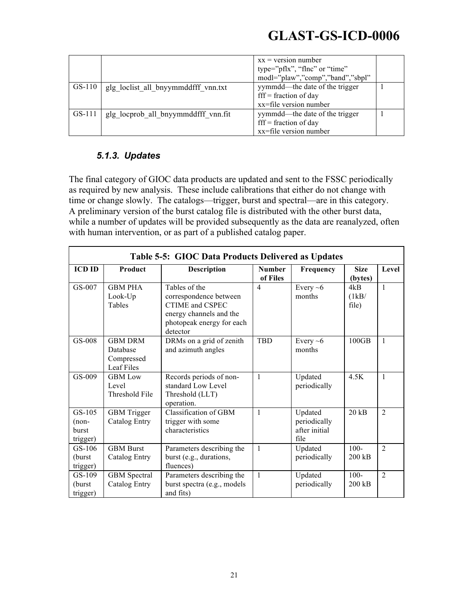|        |                                     | $xx = version$ number<br>type="pflx", "flnc" or "time"<br>modl="plaw","comp","band","sbpl"       |  |
|--------|-------------------------------------|--------------------------------------------------------------------------------------------------|--|
| GS-110 | glg loclist all bnyymmddfff vnn.txt | yymmdd—the date of the trigger<br>$\text{ff} = \text{fraction of day}$<br>xx=file version number |  |
| GS-111 | glg locprob all bnyymmddfff vnn.fit | yymmdd—the date of the trigger<br>$\text{ff}$ = fraction of day<br>xx=file version number        |  |

#### *5.1.3. Updates*

The final category of GIOC data products are updated and sent to the FSSC periodically as required by new analysis. These include calibrations that either do not change with time or change slowly. The catalogs—trigger, burst and spectral—are in this category. A preliminary version of the burst catalog file is distributed with the other burst data, while a number of updates will be provided subsequently as the data are reanalyzed, often with human intervention, or as part of a published catalog paper.

|                                        | Table 5-5: GIOC Data Products Delivered as Updates     |                                                                                                                                |                           |                                                  |                        |                |  |
|----------------------------------------|--------------------------------------------------------|--------------------------------------------------------------------------------------------------------------------------------|---------------------------|--------------------------------------------------|------------------------|----------------|--|
| <b>ICD ID</b>                          | Product                                                | <b>Description</b>                                                                                                             | <b>Number</b><br>of Files | Frequency                                        | <b>Size</b><br>(bytes) | Level          |  |
| GS-007                                 | <b>GBM PHA</b><br>Look-Up<br>Tables                    | Tables of the<br>correspondence between<br>CTIME and CSPEC<br>energy channels and the<br>photopeak energy for each<br>detector | $\overline{4}$            | Every $\sim 6$<br>months                         | 4kB<br>(1kB/<br>file)  | $\mathbf{1}$   |  |
| GS-008                                 | <b>GBM DRM</b><br>Database<br>Compressed<br>Leaf Files | DRMs on a grid of zenith<br>and azimuth angles                                                                                 | <b>TBD</b>                | Every $~6$<br>months                             | 100GB                  | $\mathbf{1}$   |  |
| GS-009                                 | <b>GBM</b> Low<br>Level<br>Threshold File              | Records periods of non-<br>standard Low Level<br>Threshold (LLT)<br>operation.                                                 | 1                         | Updated<br>periodically                          | 4.5K                   | $\mathbf{1}$   |  |
| GS-105<br>$(non-$<br>burst<br>trigger) | <b>GBM</b> Trigger<br><b>Catalog Entry</b>             | Classification of GBM<br>trigger with some<br>characteristics                                                                  | 1                         | Updated<br>periodically<br>after initial<br>file | 20 kB                  | $\overline{2}$ |  |
| GS-106<br>(burst<br>trigger)           | <b>GBM Burst</b><br>Catalog Entry                      | Parameters describing the<br>burst (e.g., durations,<br>fluences)                                                              | $\mathbf{1}$              | Updated<br>periodically                          | $100 -$<br>200 kB      | $\overline{2}$ |  |
| GS-109<br>(burst<br>trigger)           | <b>GBM</b> Spectral<br>Catalog Entry                   | Parameters describing the<br>burst spectra (e.g., models)<br>and fits)                                                         | $\mathbf{1}$              | Updated<br>periodically                          | $100 -$<br>200 kB      | $\overline{2}$ |  |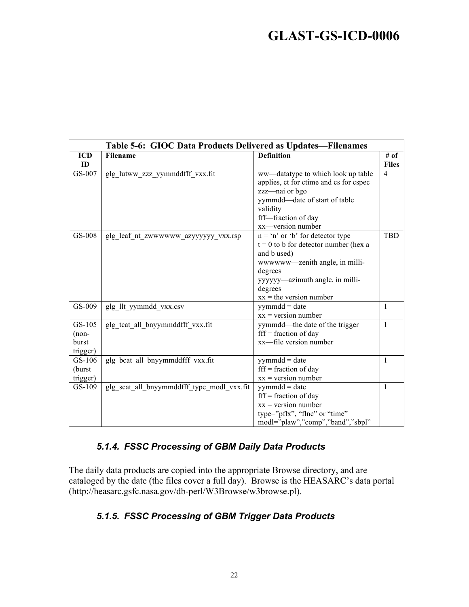| Table 5-6: GIOC Data Products Delivered as Updates—Filenames |                                            |                                                                                                                                                                                                                     |                      |
|--------------------------------------------------------------|--------------------------------------------|---------------------------------------------------------------------------------------------------------------------------------------------------------------------------------------------------------------------|----------------------|
| <b>ICD</b><br>ID                                             | Filename                                   | <b>Definition</b>                                                                                                                                                                                                   | # of<br><b>Files</b> |
| GS-007                                                       | glg_lutww_zzz_yymmddfff_vxx.fit            | ww—datatype to which look up table<br>applies, ct for ctime and cs for cspec<br>zzz-nai or bgo<br>yymmdd-date of start of table<br>validity<br>fff-fraction of day<br>xx-version number                             | $\overline{4}$       |
| GS-008                                                       | glg leaf nt_zwwwwww_azyyyyyy_vxx.rsp       | $n = 'n'$ or 'b' for detector type<br>$t = 0$ to b for detector number (hex a<br>and b used)<br>wwwww—zenith angle, in milli-<br>degrees<br>yyyyyy-azimuth angle, in milli-<br>degrees<br>$xx =$ the version number | <b>TBD</b>           |
| GS-009                                                       | glg llt yymmdd vxx.csv                     | $symmdd = date$<br>$xx = version$ number                                                                                                                                                                            | 1                    |
| GS-105<br>$(non-$<br>burst<br>trigger)                       | glg tcat all bnyymmddfff vxx.fit           | yymmdd-the date of the trigger<br>$\text{fff}$ = fraction of day<br>xx-file version number                                                                                                                          | 1                    |
| $GS-106$<br>(burst<br>trigger)                               | glg bcat all bnyymmddfff vxx.fit           | $yymmdd = date$<br>$\text{fff}$ = fraction of day<br>$xx = version$ number                                                                                                                                          | $\mathbf{1}$         |
| GS-109                                                       | glg scat all bnyymmddfff type modl vxx.fit | $yymmdd = date$<br>$\text{fff}$ = fraction of day<br>$xx = version$ number<br>type="pflx", "flnc" or "time"<br>modl="plaw","comp","band","sbpl"                                                                     | $\mathbf{1}$         |

#### *5.1.4. FSSC Processing of GBM Daily Data Products*

The daily data products are copied into the appropriate Browse directory, and are cataloged by the date (the files cover a full day). Browse is the HEASARC's data portal (http://heasarc.gsfc.nasa.gov/db-perl/W3Browse/w3browse.pl).

#### *5.1.5. FSSC Processing of GBM Trigger Data Products*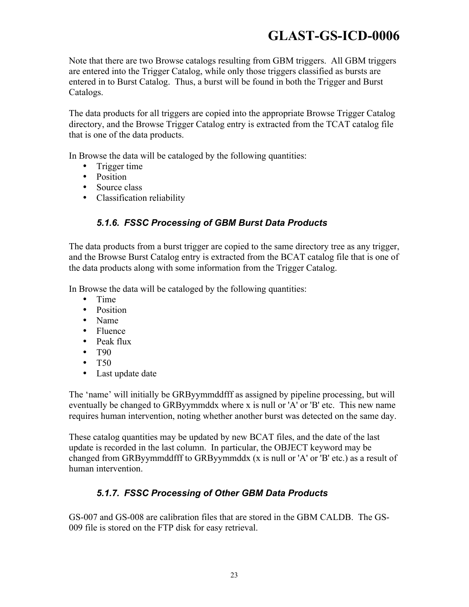Note that there are two Browse catalogs resulting from GBM triggers. All GBM triggers are entered into the Trigger Catalog, while only those triggers classified as bursts are entered in to Burst Catalog. Thus, a burst will be found in both the Trigger and Burst Catalogs.

The data products for all triggers are copied into the appropriate Browse Trigger Catalog directory, and the Browse Trigger Catalog entry is extracted from the TCAT catalog file that is one of the data products.

In Browse the data will be cataloged by the following quantities:

- Trigger time
- Position
- Source class
- Classification reliability

#### *5.1.6. FSSC Processing of GBM Burst Data Products*

The data products from a burst trigger are copied to the same directory tree as any trigger, and the Browse Burst Catalog entry is extracted from the BCAT catalog file that is one of the data products along with some information from the Trigger Catalog.

In Browse the data will be cataloged by the following quantities:

- Time
- Position
- Name
- Fluence
- Peak flux
- T<sub>90</sub>
- T50
- Last update date

The 'name' will initially be GRByymmddfff as assigned by pipeline processing, but will eventually be changed to GRByymmddx where x is null or 'A' or 'B' etc. This new name requires human intervention, noting whether another burst was detected on the same day.

These catalog quantities may be updated by new BCAT files, and the date of the last update is recorded in the last column. In particular, the OBJECT keyword may be changed from GRByymmddfff to GRByymmddx (x is null or 'A' or 'B' etc.) as a result of human intervention.

#### *5.1.7. FSSC Processing of Other GBM Data Products*

GS-007 and GS-008 are calibration files that are stored in the GBM CALDB. The GS-009 file is stored on the FTP disk for easy retrieval.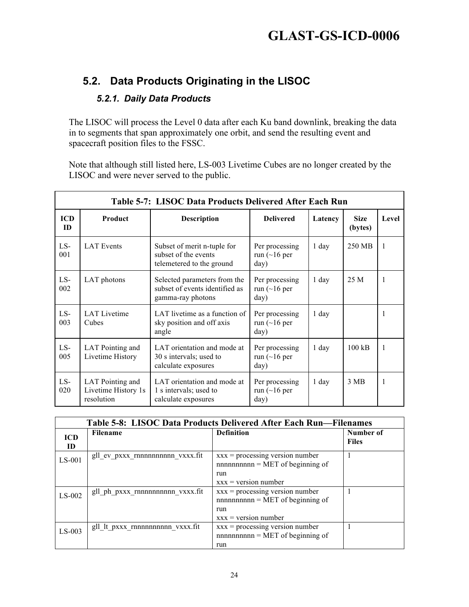#### **5.2. Data Products Originating in the LISOC**

#### *5.2.1. Daily Data Products*

The LISOC will process the Level 0 data after each Ku band downlink, breaking the data in to segments that span approximately one orbit, and send the resulting event and spacecraft position files to the FSSC.

Note that although still listed here, LS-003 Livetime Cubes are no longer created by the LISOC and were never served to the public.

|                  | Table 5-7: LISOC Data Products Delivered After Each Run |                                                                                     |                                              |         |                        |       |
|------------------|---------------------------------------------------------|-------------------------------------------------------------------------------------|----------------------------------------------|---------|------------------------|-------|
| <b>ICD</b><br>ID | Product                                                 | <b>Description</b>                                                                  | <b>Delivered</b>                             | Latency | <b>Size</b><br>(bytes) | Level |
| LS-<br>001       | <b>LAT</b> Events                                       | Subset of merit n-tuple for<br>subset of the events<br>telemetered to the ground    | Per processing<br>run $(\sim]16$ per<br>day) | 1 day   | 250 MB                 | 1     |
| LS-<br>002       | LAT photons                                             | Selected parameters from the<br>subset of events identified as<br>gamma-ray photons | Per processing<br>run $(\sim]16$ per<br>day) | $1$ day | 25 M                   | 1     |
| LS-<br>003       | <b>LAT Livetime</b><br>Cubes                            | LAT livetime as a function of<br>sky position and off axis<br>angle                 | Per processing<br>run $(\sim]16$ per<br>day) | $1$ day |                        | 1     |
| LS-<br>005       | LAT Pointing and<br>Livetime History                    | LAT orientation and mode at<br>30 s intervals; used to<br>calculate exposures       | Per processing<br>run $(\sim]16$ per<br>day) | $1$ day | $100 \text{ kB}$       | 1     |
| LS-<br>020       | LAT Pointing and<br>Livetime History 1s<br>resolution   | LAT orientation and mode at<br>1 s intervals; used to<br>calculate exposures        | Per processing<br>run (~16 per<br>day)       | 1 day   | 3 MB                   | 1     |

|                  | Table 5-8: LISOC Data Products Delivered After Each Run—Filenames |                                                                                                             |                           |  |
|------------------|-------------------------------------------------------------------|-------------------------------------------------------------------------------------------------------------|---------------------------|--|
| <b>ICD</b><br>ID | <b>Filename</b>                                                   | <b>Definition</b>                                                                                           | Number of<br><b>Files</b> |  |
| $LS-001$         | gll_ev_pxxx_rnnnnnnnnnn vxxx.fit                                  | $xxx = processing version number$<br>$n$ nnnnnnnnnnn = MET of beginning of<br>run<br>$xxx = version number$ |                           |  |
| $LS-002$         | gll_ph_pxxx_rnnnnnnnnnn vxxx.fit                                  | $xxx = processing version number$<br>$n$ nnnnnnnnnnn = MET of beginning of<br>run<br>$xxx = version number$ |                           |  |
| $LS-003$         | gll lt pxxx rnnnnnnnnnn vxxx.fit                                  | $xxx = processing version number$<br>$n$ nnnnnnnnnnn = MET of beginning of<br>run                           |                           |  |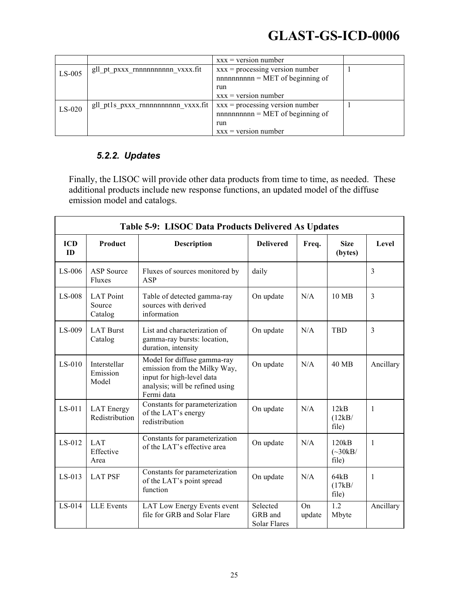|          |                                    | $\bf{XXX}$ = version number                                                        |  |
|----------|------------------------------------|------------------------------------------------------------------------------------|--|
| $LS-005$ | gll pt pxxx rnnnnnnnnnn vxxx.fit   | $xxx = \text{processing version number}$<br>$n$ nnnnnnnnnnnn = MET of beginning of |  |
|          |                                    | run                                                                                |  |
|          |                                    | $xxx = version number$                                                             |  |
| $LS-020$ | gll ptls pxxx rnnnnnnnnnn vxxx.fit | $xxx = processing version number$<br>$n$ nnnnnnnnnnnn = MET of beginning of        |  |
|          |                                    | run                                                                                |  |
|          |                                    | $xxx = version number$                                                             |  |

#### *5.2.2. Updates*

Finally, the LISOC will provide other data products from time to time, as needed. These additional products include new response functions, an updated model of the diffuse emission model and catalogs.

|                  | Table 5-9: LISOC Data Products Delivered As Updates |                                                                                                                                           |                                     |              |                                         |                |
|------------------|-----------------------------------------------------|-------------------------------------------------------------------------------------------------------------------------------------------|-------------------------------------|--------------|-----------------------------------------|----------------|
| <b>ICD</b><br>ID | Product                                             | <b>Description</b>                                                                                                                        | <b>Delivered</b>                    | Freq.        | <b>Size</b><br>(bytes)                  | Level          |
| $LS-006$         | <b>ASP</b> Source<br>Fluxes                         | Fluxes of sources monitored by<br><b>ASP</b>                                                                                              | daily                               |              |                                         | $\overline{3}$ |
| $LS-008$         | <b>LAT</b> Point<br>Source<br>Catalog               | Table of detected gamma-ray<br>sources with derived<br>information                                                                        | On update                           | N/A          | $10 \text{ MB}$                         | 3              |
| $LS-009$         | <b>LAT Burst</b><br>Catalog                         | List and characterization of<br>gamma-ray bursts: location,<br>duration, intensity                                                        | On update                           | N/A          | <b>TBD</b>                              | $\overline{3}$ |
| $LS-010$         | Interstellar<br>Emission<br>Model                   | Model for diffuse gamma-ray<br>emission from the Milky Way,<br>input for high-level data<br>analysis; will be refined using<br>Fermi data | On update                           | N/A          | 40 MB                                   | Ancillary      |
| LS-011           | <b>LAT</b> Energy<br>Redistribution                 | Constants for parameterization<br>of the LAT's energy<br>redistribution                                                                   | On update                           | N/A          | 12kB<br>(12kB/<br>file)                 | $\mathbf{1}$   |
| LS-012           | <b>LAT</b><br>Effective<br>Area                     | Constants for parameterization<br>of the LAT's effective area                                                                             | On update                           | N/A          | 120kB<br>$(\sim 30 \text{kB}/$<br>file) | $\mathbf{1}$   |
| $LS-013$         | <b>LAT PSF</b>                                      | Constants for parameterization<br>of the LAT's point spread<br>function                                                                   | On update                           | N/A          | 64kB<br>(17kB/<br>file)                 | 1              |
| LS-014           | <b>LLE</b> Events                                   | LAT Low Energy Events event<br>file for GRB and Solar Flare                                                                               | Selected<br>GRB and<br>Solar Flares | On<br>update | 1.2<br>Mbyte                            | Ancillary      |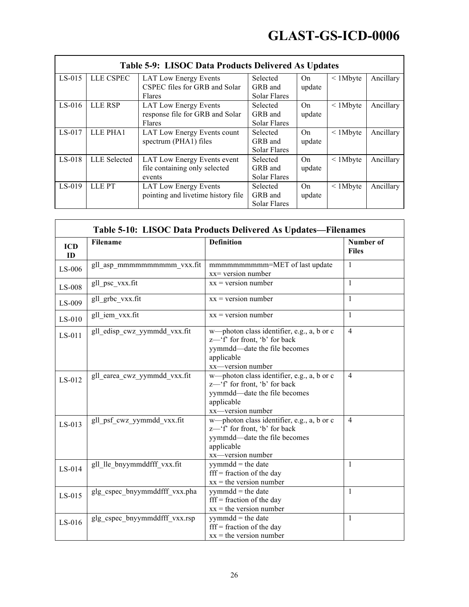|          |                     | Table 5-9: LISOC Data Products Delivered As Updates |                     |        |                |           |
|----------|---------------------|-----------------------------------------------------|---------------------|--------|----------------|-----------|
| $LS-015$ | LLE CSPEC           | <b>LAT Low Energy Events</b>                        | Selected            | On     | $\leq$ 1 Mbyte | Ancillary |
|          |                     | CSPEC files for GRB and Solar                       | GRB and             | update |                |           |
|          |                     | Flares                                              | Solar Flares        |        |                |           |
| $LS-016$ | LLE RSP             | <b>LAT Low Energy Events</b>                        | Selected            | On     | $\leq$ 1 Mbyte | Ancillary |
|          |                     | response file for GRB and Solar                     | GRB and             | update |                |           |
|          |                     | Flares                                              | Solar Flares        |        |                |           |
| $LS-017$ | LLE PHA1            | LAT Low Energy Events count                         | Selected            | On     | $\leq$ 1 Mbyte | Ancillary |
|          |                     | spectrum (PHA1) files                               | GRB and             | update |                |           |
|          |                     |                                                     | <b>Solar Flares</b> |        |                |           |
| LS-018   | <b>LLE</b> Selected | LAT Low Energy Events event                         | Selected            | On     | $\leq$ 1 Mbyte | Ancillary |
|          |                     | file containing only selected                       | GRB and             | update |                |           |
|          |                     | events                                              | <b>Solar Flares</b> |        |                |           |
| $LS-019$ | LLE PT              | <b>LAT Low Energy Events</b>                        | Selected            | On     | $\leq$ 1 Mbyte | Ancillary |
|          |                     | pointing and livetime history file                  | GRB and             | update |                |           |
|          |                     |                                                     | Solar Flares        |        |                |           |

| <b>ICD</b><br>ID | Filename                      | <b>Definition</b>                                                                                                                              | Number of<br><b>Files</b> |
|------------------|-------------------------------|------------------------------------------------------------------------------------------------------------------------------------------------|---------------------------|
| LS-006           | gll_asp_mmmmmmmmmm vxx.fit    | mmmmmmmmm=MET of last update<br>$xx = version$ number                                                                                          | $\mathbf{1}$              |
| LS-008           | gll_psc_vxx.fit               | $xx = version$ number                                                                                                                          | $\mathbf{1}$              |
| LS-009           | gll_grbc_vxx.fit              | $xx = version number$                                                                                                                          | 1                         |
| $LS-010$         | gll_iem_vxx.fit               | $xx = version number$                                                                                                                          | 1                         |
| LS-011           | gll_edisp_cwz_yymmdd_vxx.fit  | w-photon class identifier, e.g., a, b or c<br>z—'f' for front, 'b' for back<br>yymmdd—date the file becomes<br>applicable<br>xx-version number | $\overline{4}$            |
| LS-012           | gll_earea_cwz_yymmdd_vxx.fit  | w—photon class identifier, e.g., a, b or c<br>z—'f' for front, 'b' for back<br>yymmdd—date the file becomes<br>applicable<br>xx-version number | $\overline{4}$            |
| $LS-013$         | gll psf cwz yymmdd vxx.fit    | w—photon class identifier, e.g., a, b or c<br>z—'f' for front, 'b' for back<br>yymmdd-date the file becomes<br>applicable<br>xx-version number | $\overline{4}$            |
| LS-014           | gll_lle_bnyymmddfff_vxx.fit   | $symmdd = the date$<br>$\text{fff}$ = fraction of the day<br>$xx =$ the version number                                                         | 1                         |
| LS-015           | glg_cspec_bnyymmddfff_vxx.pha | $symmdd = the date$<br>$\text{fff}$ = fraction of the day<br>$xx =$ the version number                                                         | 1                         |
| LS-016           | glg_cspec_bnyymmddfff_vxx.rsp | $symmdd = the date$<br>$\text{fff}$ = fraction of the day<br>$xx =$ the version number                                                         | 1                         |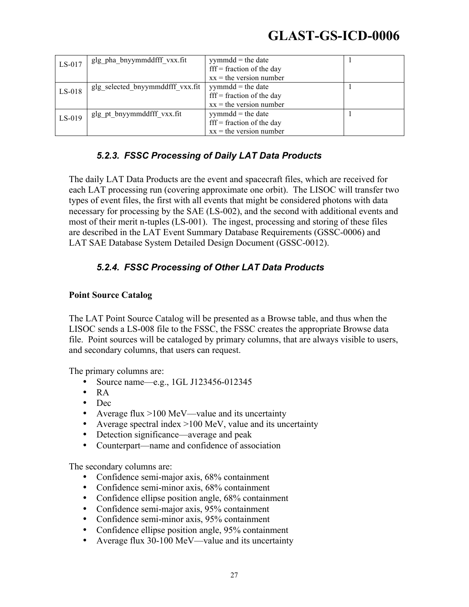| LS-017   | glg_pha_bnyymmddfff vxx.fit      | $symmdd = the date$<br>$\text{fff}$ = fraction of the day                              |  |
|----------|----------------------------------|----------------------------------------------------------------------------------------|--|
|          |                                  | $xx =$ the version number                                                              |  |
| $LS-018$ | glg selected bnyymmddfff vxx.fit | $yymmdd$ = the date<br>$\text{fff}$ = fraction of the day<br>$xx =$ the version number |  |
| $LS-019$ | glg_pt_bnyymmddfff vxx.fit       | $yymmdd$ = the date<br>$\text{fff}$ = fraction of the day<br>$xx =$ the version number |  |

#### *5.2.3. FSSC Processing of Daily LAT Data Products*

The daily LAT Data Products are the event and spacecraft files, which are received for each LAT processing run (covering approximate one orbit). The LISOC will transfer two types of event files, the first with all events that might be considered photons with data necessary for processing by the SAE (LS-002), and the second with additional events and most of their merit n-tuples (LS-001). The ingest, processing and storing of these files are described in the LAT Event Summary Database Requirements (GSSC-0006) and LAT SAE Database System Detailed Design Document (GSSC-0012).

#### *5.2.4. FSSC Processing of Other LAT Data Products*

#### **Point Source Catalog**

The LAT Point Source Catalog will be presented as a Browse table, and thus when the LISOC sends a LS-008 file to the FSSC, the FSSC creates the appropriate Browse data file. Point sources will be cataloged by primary columns, that are always visible to users, and secondary columns, that users can request.

The primary columns are:

- Source name—e.g., 1GL J123456-012345
- RA
- Dec
- Average flux >100 MeV—value and its uncertainty
- Average spectral index  $>100$  MeV, value and its uncertainty
- Detection significance—average and peak
- Counterpart—name and confidence of association

The secondary columns are:

- Confidence semi-major axis, 68% containment
- Confidence semi-minor axis, 68% containment
- Confidence ellipse position angle, 68% containment
- Confidence semi-major axis, 95% containment
- Confidence semi-minor axis, 95% containment
- Confidence ellipse position angle, 95% containment
- Average flux 30-100 MeV—value and its uncertainty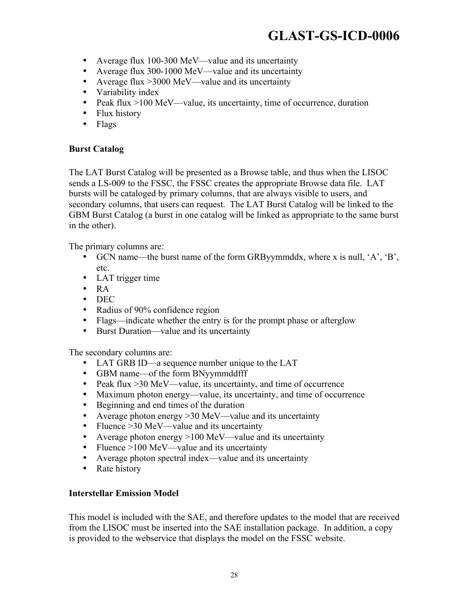- Average flux 100-300 MeV—value and its uncertainty
- Average flux 300-1000 MeV—value and its uncertainty
- Average flux > 3000 MeV—value and its uncertainty
- Variability index
- Peak flux >100 MeV—value, its uncertainty, time of occurrence, duration
- Flux history
- Flags

#### **Burst Catalog**

The LAT Burst Catalog will be presented as a Browse table, and thus when the LISOC sends a LS-009 to the FSSC, the FSSC creates the appropriate Browse data file. LAT bursts will be cataloged by primary columns, that are always visible to users, and secondary columns, that users can request. The LAT Burst Catalog will be linked to the GBM Burst Catalog (a burst in one catalog will be linked as appropriate to the same burst in the other).

The primary columns are:

- GCN name—the burst name of the form GRByymmddx, where x is null, 'A', 'B', etc.
- LAT trigger time
- RA
- DEC
- Radius of 90% confidence region
- Flags—indicate whether the entry is for the prompt phase or afterglow
- Burst Duration—value and its uncertainty

The secondary columns are:

- LAT GRB ID—a sequence number unique to the LAT
- GBM name—of the form BNyymmddfff
- Peak flux > 30 MeV—value, its uncertainty, and time of occurrence
- Maximum photon energy—value, its uncertainty, and time of occurrence
- Beginning and end times of the duration
- Average photon energy > 30 MeV—value and its uncertainty
- Fluence > 30 MeV—value and its uncertainty
- Average photon energy >100 MeV—value and its uncertainty
- Fluence >100 MeV—value and its uncertainty
- Average photon spectral index—value and its uncertainty
- Rate history

#### **Interstellar Emission Model**

This model is included with the SAE, and therefore updates to the model that are received from the LISOC must be inserted into the SAE installation package. In addition, a copy is provided to the webservice that displays the model on the FSSC website.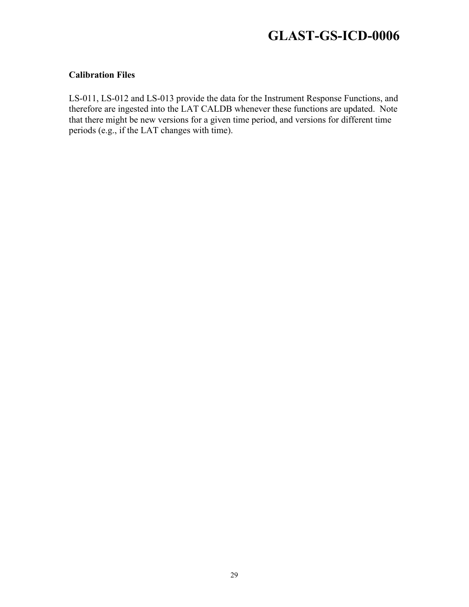#### **Calibration Files**

LS-011, LS-012 and LS-013 provide the data for the Instrument Response Functions, and therefore are ingested into the LAT CALDB whenever these functions are updated. Note that there might be new versions for a given time period, and versions for different time periods (e.g., if the LAT changes with time).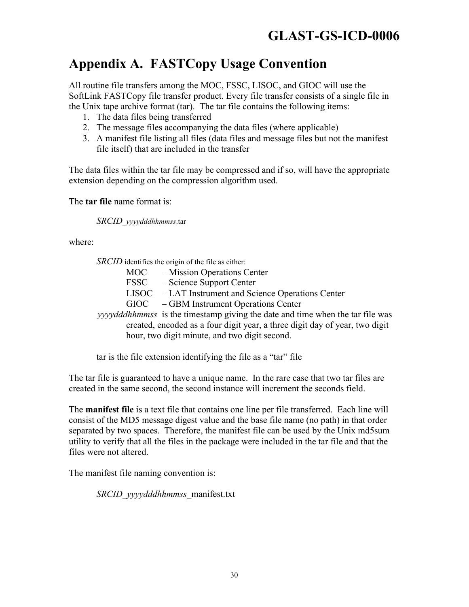### **Appendix A. FASTCopy Usage Convention**

All routine file transfers among the MOC, FSSC, LISOC, and GIOC will use the SoftLink FASTCopy file transfer product. Every file transfer consists of a single file in the Unix tape archive format (tar). The tar file contains the following items:

- 1. The data files being transferred
- 2. The message files accompanying the data files (where applicable)
- 3. A manifest file listing all files (data files and message files but not the manifest file itself) that are included in the transfer

The data files within the tar file may be compressed and if so, will have the appropriate extension depending on the compression algorithm used.

The **tar file** name format is:

*SRCID*\_*yyyydddhhmmss*.tar

where:

*SRCID* identifies the origin of the file as either:

MOC – Mission Operations Center

- FSSC Science Support Center
- LISOC LAT Instrument and Science Operations Center

GIOC – GBM Instrument Operations Center

*yyyydddhhmmss* is the timestamp giving the date and time when the tar file was created, encoded as a four digit year, a three digit day of year, two digit hour, two digit minute, and two digit second.

tar is the file extension identifying the file as a "tar" file

The tar file is guaranteed to have a unique name. In the rare case that two tar files are created in the same second, the second instance will increment the seconds field.

The **manifest file** is a text file that contains one line per file transferred. Each line will consist of the MD5 message digest value and the base file name (no path) in that order separated by two spaces. Therefore, the manifest file can be used by the Unix md5sum utility to verify that all the files in the package were included in the tar file and that the files were not altered.

The manifest file naming convention is:

*SRCID\_yyyydddhhmmss\_*manifest.txt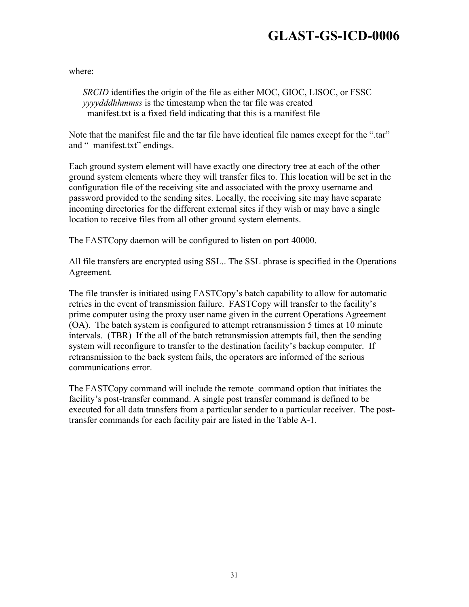where:

*SRCID* identifies the origin of the file as either MOC, GIOC, LISOC, or FSSC *yyyydddhhmmss* is the timestamp when the tar file was created \_manifest.txt is a fixed field indicating that this is a manifest file

Note that the manifest file and the tar file have identical file names except for the ".tar" and " manifest.txt" endings.

Each ground system element will have exactly one directory tree at each of the other ground system elements where they will transfer files to. This location will be set in the configuration file of the receiving site and associated with the proxy username and password provided to the sending sites. Locally, the receiving site may have separate incoming directories for the different external sites if they wish or may have a single location to receive files from all other ground system elements.

The FASTCopy daemon will be configured to listen on port 40000.

All file transfers are encrypted using SSL.. The SSL phrase is specified in the Operations Agreement.

The file transfer is initiated using FASTCopy's batch capability to allow for automatic retries in the event of transmission failure. FASTCopy will transfer to the facility's prime computer using the proxy user name given in the current Operations Agreement (OA). The batch system is configured to attempt retransmission 5 times at 10 minute intervals. (TBR) If the all of the batch retransmission attempts fail, then the sending system will reconfigure to transfer to the destination facility's backup computer. If retransmission to the back system fails, the operators are informed of the serious communications error.

The FASTCopy command will include the remote\_command option that initiates the facility's post-transfer command. A single post transfer command is defined to be executed for all data transfers from a particular sender to a particular receiver. The posttransfer commands for each facility pair are listed in the Table A-1.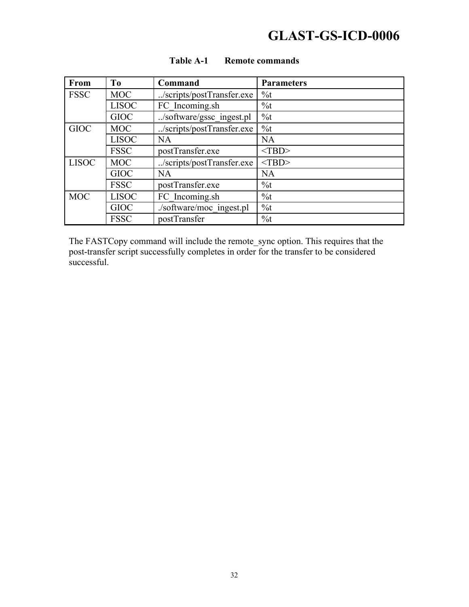| From         | T <sub>0</sub> | Command                   | <b>Parameters</b> |
|--------------|----------------|---------------------------|-------------------|
| <b>FSSC</b>  | <b>MOC</b>     | /scripts/postTransfer.exe | $\%t$             |
|              | <b>LISOC</b>   | FC Incoming.sh            | $\%t$             |
|              | <b>GIOC</b>    | /software/gssc_ingest.pl  | $\%t$             |
| <b>GIOC</b>  | <b>MOC</b>     | /scripts/postTransfer.exe | $\%t$             |
|              | <b>LISOC</b>   | NA                        | <b>NA</b>         |
|              | <b>FSSC</b>    | postTransfer.exe          | $<$ TBD>          |
| <b>LISOC</b> | <b>MOC</b>     | /scripts/postTransfer.exe | $<$ TBD>          |
|              | <b>GIOC</b>    | NA                        | NA                |
|              | <b>FSSC</b>    | postTransfer.exe          | $\%t$             |
| <b>MOC</b>   | <b>LISOC</b>   | FC Incoming.sh            | $\%t$             |
|              | <b>GIOC</b>    | ./software/moc_ingest.pl  | $\%t$             |
|              | <b>FSSC</b>    | postTransfer              | $\%t$             |

#### **Table A-1 Remote commands**

The FASTCopy command will include the remote\_sync option. This requires that the post-transfer script successfully completes in order for the transfer to be considered successful.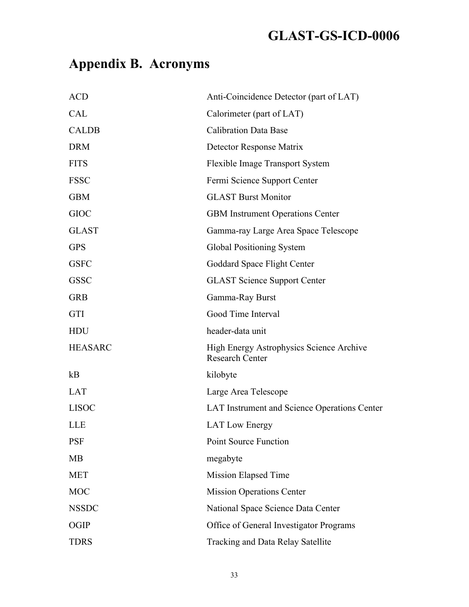# **Appendix B. Acronyms**

| <b>ACD</b>     | Anti-Coincidence Detector (part of LAT)                                   |
|----------------|---------------------------------------------------------------------------|
| <b>CAL</b>     | Calorimeter (part of LAT)                                                 |
| <b>CALDB</b>   | <b>Calibration Data Base</b>                                              |
| <b>DRM</b>     | Detector Response Matrix                                                  |
| <b>FITS</b>    | Flexible Image Transport System                                           |
| <b>FSSC</b>    | Fermi Science Support Center                                              |
| <b>GBM</b>     | <b>GLAST Burst Monitor</b>                                                |
| <b>GIOC</b>    | <b>GBM</b> Instrument Operations Center                                   |
| <b>GLAST</b>   | Gamma-ray Large Area Space Telescope                                      |
| <b>GPS</b>     | Global Positioning System                                                 |
| <b>GSFC</b>    | Goddard Space Flight Center                                               |
| <b>GSSC</b>    | <b>GLAST Science Support Center</b>                                       |
| <b>GRB</b>     | Gamma-Ray Burst                                                           |
| <b>GTI</b>     | Good Time Interval                                                        |
| <b>HDU</b>     | header-data unit                                                          |
| <b>HEASARC</b> | <b>High Energy Astrophysics Science Archive</b><br><b>Research Center</b> |
| kB             | kilobyte                                                                  |
| <b>LAT</b>     | Large Area Telescope                                                      |
| <b>LISOC</b>   | LAT Instrument and Science Operations Center                              |
| <b>LLE</b>     | <b>LAT Low Energy</b>                                                     |
| <b>PSF</b>     | <b>Point Source Function</b>                                              |
| <b>MB</b>      | megabyte                                                                  |
| <b>MET</b>     | Mission Elapsed Time                                                      |
| <b>MOC</b>     | <b>Mission Operations Center</b>                                          |
| <b>NSSDC</b>   | National Space Science Data Center                                        |
| <b>OGIP</b>    | Office of General Investigator Programs                                   |
| <b>TDRS</b>    | Tracking and Data Relay Satellite                                         |
|                |                                                                           |